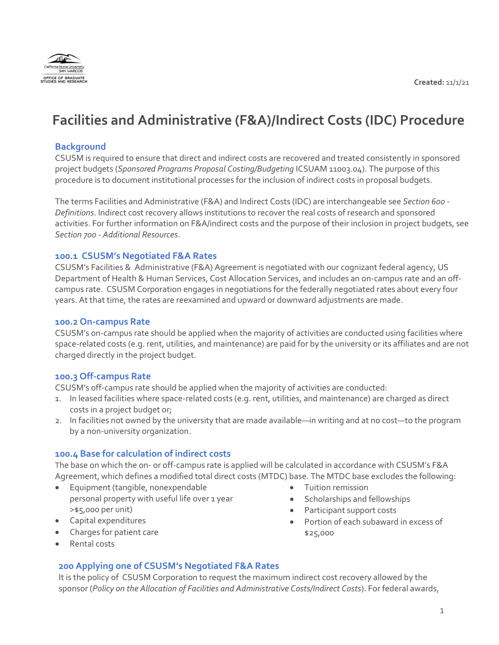

# **Facilities and Administrative (F&A)/Indirect Costs (IDC) Procedure**

## **Background**

CSUSM is required to ensure that direct and indirect costs are recovered and treated consistently in sponsored project budgets (*Sponsored Programs Proposal Costing/Budgeting* ICSUAM 11003.04). The purpose of this procedure is to document institutional processes for the inclusion of indirect costs in proposal budgets.

The terms Facilities and Administrative (F&A) and Indirect Costs (IDC) are interchangeable see *Section 600 - Definitions*. Indirect cost recovery allows institutions to recover the real costs of research and sponsored activities. For further information on F&A/indirect costs and the purpose of their inclusion in project budgets, see *Section 700 - Additional Resources*.

#### **100.1 CSUSM's Negotiated F&A Rates**

CSUSM's Facilities & Administrative (F&A) Agreement is negotiated with our cognizant federal agency, US Department of Health & Human Services, Cost Allocation Services, and includes an on-campus rate and an offcampus rate. CSUSM Corporation engages in negotiations for the federally negotiated rates about every four years. At that time, the rates are reexamined and upward or downward adjustments are made.

#### **100.2 On-campus Rate**

CSUSM's on-campus rate should be applied when the majority of activities are conducted using facilities where space-related costs (e.g. rent, utilities, and maintenance) are paid for by the university or its affiliates and are not charged directly in the project budget.

#### **100.3 Off-campus Rate**

CSUSM's off-campus rate should be applied when the majority of activities are conducted:

- 1. In leased facilities where space-related costs (e.g. rent, utilities, and maintenance) are charged as direct costs in a project budget or;
- 2. In facilities not owned by the university that are made available—in writing and at no cost—to the program by a non-university organization.

#### **100.4 Base for calculation of indirect costs**

The base on which the on- or off-campus rate is applied will be calculated in accordance with CSUSM's F&A Agreement, which defines a modified total direct costs (MTDC) base. The MTDC base excludes the following:

- Equipment (tangible, nonexpendable personal property with useful life over 1 year >\$5,000 per unit)
- Capital expenditures
- Charges for patient care
- Rental costs

# • Tuition remission

- Scholarships and fellowships
- Participant support costs
- Portion of each subaward in excess of \$25,000
- **200 Applying one of CSUSM's Negotiated F&A Rates**

It is the policy of CSUSM Corporation to request the maximum indirect cost recovery allowed by the sponsor (*Policy on the Allocation of Facilities and Administrative Costs/Indirect Costs*). For federal awards,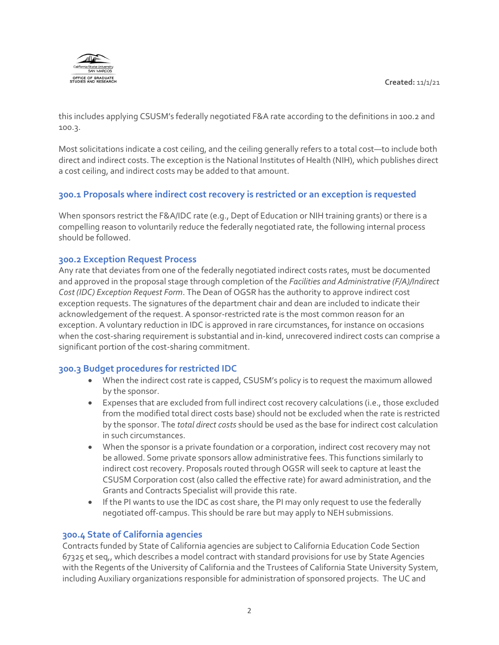**Created:** 11/1/21



this includes applying CSUSM's federally negotiated F&A rate according to the definitions in 100.2 and 100.3.

Most solicitations indicate a cost ceiling, and the ceiling generally refers to a total cost—to include both direct and indirect costs. The exception is the National Institutes of Health (NIH), which publishes direct a cost ceiling, and indirect costs may be added to that amount.

# **300.1 Proposals where indirect cost recovery is restricted or an exception is requested**

When sponsors restrict the F&A/IDC rate (e.g., Dept of Education or NIH training grants) or there is a compelling reason to voluntarily reduce the federally negotiated rate, the following internal process should be followed.

### **300.2 Exception Request Process**

Any rate that deviates from one of the federally negotiated indirect costs rates, must be documented and approved in the proposal stage through completion of the *Facilities and Administrative (F/A)/Indirect Cost (IDC) Exception Request Form*. The Dean of OGSR has the authority to approve indirect cost exception requests. The signatures of the department chair and dean are included to indicate their acknowledgement of the request. A sponsor-restricted rate is the most common reason for an exception. A voluntary reduction in IDC is approved in rare circumstances, for instance on occasions when the cost-sharing requirement is substantial and in-kind, unrecovered indirect costs can comprise a significant portion of the cost-sharing commitment.

# **300.3 Budget procedures for restricted IDC**

- When the indirect cost rate is capped, CSUSM's policy is to request the maximum allowed by the sponsor.
- Expenses that are excluded from full indirect cost recovery calculations (i.e., those excluded from the modified total direct costs base) should not be excluded when the rate is restricted by the sponsor. The *total direct costs* should be used as the base for indirect cost calculation in such circumstances.
- When the sponsor is a private foundation or a corporation, indirect cost recovery may not be allowed. Some private sponsors allow administrative fees. This functions similarly to indirect cost recovery. Proposals routed through OGSR will seek to capture at least the CSUSM Corporation cost (also called the effective rate) for award administration, and the Grants and Contracts Specialist will provide this rate.
- If the PI wants to use the IDC as cost share, the PI may only request to use the federally negotiated off-campus. This should be rare but may apply to NEH submissions.

# **300.4 State of California agencies**

Contracts funded by State of California agencies are subject to California Education Code Section 67325 et seq,, which describes a model contract with standard provisions for use by State Agencies with the Regents of the University of California and the Trustees of California State University System, including Auxiliary organizations responsible for administration of sponsored projects. The UC and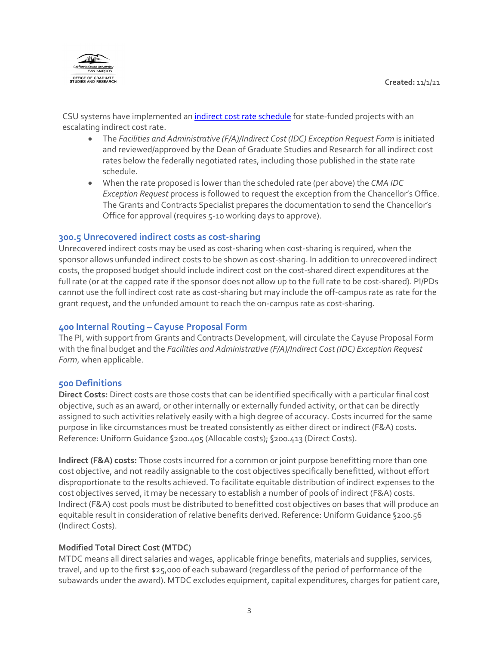

CSU systems have implemented an *[indirect cost rate schedule](https://www2.calstate.edu/csu-system/administration/business-finance/financial-services/Pages/california-model-agreement-resources.aspx)* for state-funded projects with an escalating indirect cost rate.

- The *Facilities and Administrative (F/A)/Indirect Cost (IDC) Exception Request Form* is initiated and reviewed/approved by the Dean of Graduate Studies and Research for all indirect cost rates below the federally negotiated rates, including those published in the state rate schedule.
- When the rate proposed is lower than the scheduled rate (per above) the *CMA IDC Exception Request* process is followed to request the exception from the Chancellor's Office. The Grants and Contracts Specialist prepares the documentation to send the Chancellor's Office for approval (requires 5-10 working days to approve).

### **300.5 Unrecovered indirect costs as cost-sharing**

Unrecovered indirect costs may be used as cost-sharing when cost-sharing is required, when the sponsor allows unfunded indirect costs to be shown as cost-sharing. In addition to unrecovered indirect costs, the proposed budget should include indirect cost on the cost-shared direct expenditures at the full rate (or at the capped rate if the sponsor does not allow up to the full rate to be cost-shared). PI/PDs cannot use the full indirect cost rate as cost-sharing but may include the off-campus rate as rate for the grant request, and the unfunded amount to reach the on-campus rate as cost-sharing.

## **400 Internal Routing – Cayuse Proposal Form**

The PI, with support from Grants and Contracts Development, will circulate the Cayuse Proposal Form with the final budget and the *Facilities and Administrative (F/A)/Indirect Cost (IDC) Exception Request Form*, when applicable.

#### **500 Definitions**

**Direct Costs:** Direct costs are those costs that can be identified specifically with a particular final cost objective, such as an award, or other internally or externally funded activity, or that can be directly assigned to such activities relatively easily with a high degree of accuracy. Costs incurred for the same purpose in like circumstances must be treated consistently as either direct or indirect (F&A) costs. Reference: Uniform Guidance §200.405 (Allocable costs); §200.413 (Direct Costs).

**Indirect (F&A) costs:** Those costs incurred for a common or joint purpose benefitting more than one cost objective, and not readily assignable to the cost objectives specifically benefitted, without effort disproportionate to the results achieved. To facilitate equitable distribution of indirect expenses to the cost objectives served, it may be necessary to establish a number of pools of indirect (F&A) costs. Indirect (F&A) cost pools must be distributed to benefitted cost objectives on bases that will produce an equitable result in consideration of relative benefits derived. Reference: Uniform Guidance §200.56 (Indirect Costs).

#### **Modified Total Direct Cost (MTDC)**

MTDC means all direct salaries and wages, applicable fringe benefits, materials and supplies, services, travel, and up to the first \$25,000 of each subaward (regardless of the period of performance of the subawards under the award). MTDC excludes equipment, capital expenditures, charges for patient care,